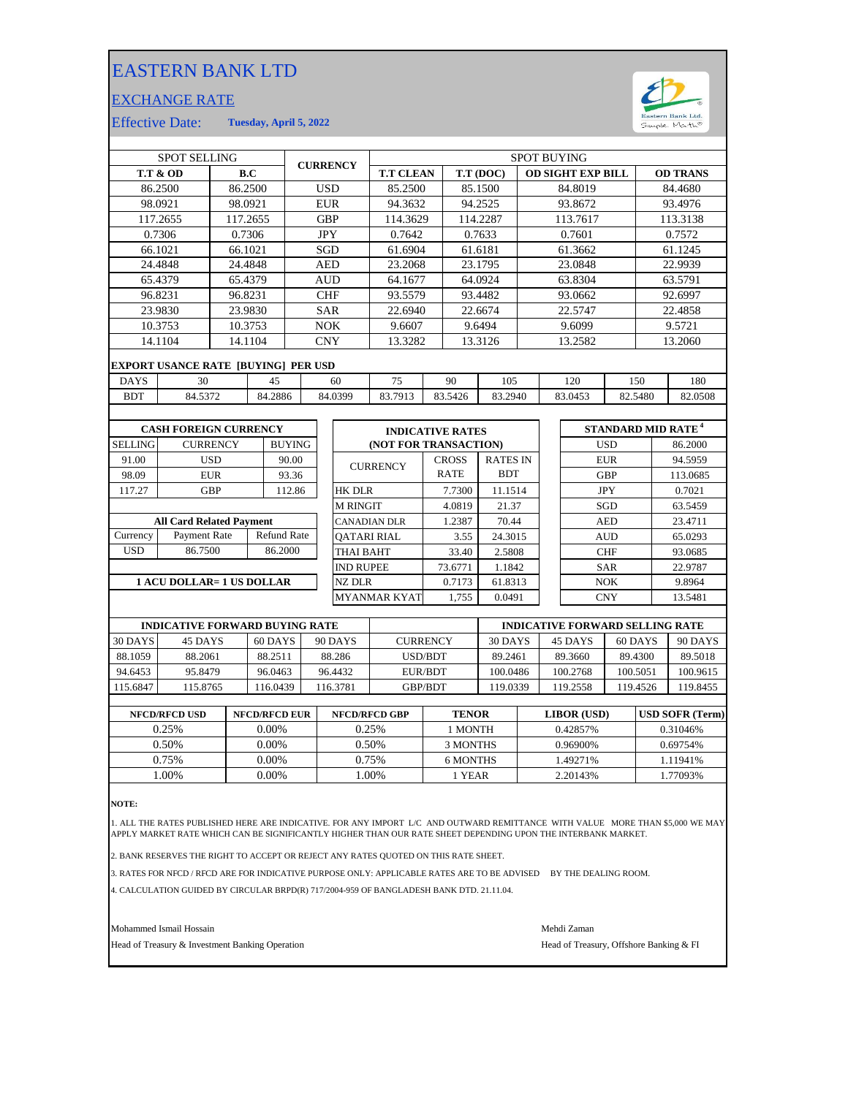## EASTERN BANK LTD

## EXCHANGE RATE



Effective Date: **Tuesday, April 5, 2022**

| <b>SPOT SELLING</b>              |                                            |                 |                    |               | <b>CURRENCY</b>     |                 | <b>SPOT BUYING</b>                                              |              |                          |                 |            |            |                 |          |          |  |
|----------------------------------|--------------------------------------------|-----------------|--------------------|---------------|---------------------|-----------------|-----------------------------------------------------------------|--------------|--------------------------|-----------------|------------|------------|-----------------|----------|----------|--|
| <b>T.T &amp; OD</b><br>B.C       |                                            |                 | <b>T.T CLEAN</b>   |               |                     |                 | T.T (DOC)                                                       |              | <b>OD SIGHT EXP BILL</b> |                 |            |            | <b>OD TRANS</b> |          |          |  |
|                                  | 86.2500<br>86.2500                         |                 |                    | <b>USD</b>    |                     | 85.2500         | 85.1500                                                         |              |                          | 84.8019         |            |            |                 | 84.4680  |          |  |
| 98.0921                          |                                            | 98.0921         |                    |               | <b>EUR</b>          |                 |                                                                 | 94.3632      |                          | 94.2525         | 93.8672    |            |                 | 93.4976  |          |  |
|                                  | 117.2655                                   | 117.2655        |                    |               | <b>GBP</b>          |                 |                                                                 | 114.3629     |                          | 114.2287        | 113.7617   |            |                 | 113.3138 |          |  |
|                                  | 0.7306                                     |                 | 0.7306             |               |                     | <b>JPY</b>      | 0.7642                                                          |              |                          | 0.7633          |            | 0.7601     |                 |          | 0.7572   |  |
|                                  | 66.1021                                    | 66.1021         |                    |               |                     | <b>SGD</b>      | 61.6904                                                         |              |                          | 61.6181         |            | 61.3662    |                 |          | 61.1245  |  |
|                                  | 24.4848                                    | 24.4848         |                    |               |                     | <b>AED</b>      | 23.2068                                                         |              |                          | 23.1795         |            | 23.0848    |                 |          | 22.9939  |  |
|                                  | 65.4379                                    | 65.4379         |                    |               |                     | <b>AUD</b>      | 64.1677                                                         |              |                          | 64.0924         |            | 63.8304    |                 |          | 63.5791  |  |
|                                  | 96.8231                                    | 96.8231         |                    |               | <b>CHF</b>          |                 | 93.5579                                                         | 93.4482      |                          |                 | 93.0662    |            | 92.6997         |          |          |  |
|                                  | 23.9830                                    |                 | 23.9830            |               | <b>SAR</b>          |                 | 22.6940                                                         |              | 22.6674                  |                 | 22.5747    |            | 22.4858         |          |          |  |
|                                  | 10.3753                                    | 10.3753         |                    |               | NOK                 |                 | 9.6607                                                          |              | 9.6494                   |                 | 9.6099     |            | 9.5721          |          |          |  |
|                                  | 14.1104                                    | 14.1104         |                    |               |                     | <b>CNY</b>      | 13.3282                                                         |              |                          | 13.3126         |            | 13.2582    |                 | 13.2060  |          |  |
|                                  | <b>EXPORT USANCE RATE [BUYING] PER USD</b> |                 |                    |               |                     |                 |                                                                 |              |                          |                 |            |            |                 |          |          |  |
| <b>DAYS</b>                      | 30                                         | 45              |                    | 75<br>60      |                     | 90              |                                                                 | 105          |                          | 120             | 150        |            | 180             |          |          |  |
| <b>BDT</b>                       | 84.5372                                    |                 |                    | 84.2886       |                     | 84.0399         | 83.7913                                                         | 83.5426      |                          | 83.2940         |            | 83.0453    |                 | 82.5480  | 82.0508  |  |
|                                  |                                            |                 |                    |               |                     |                 |                                                                 |              |                          |                 |            |            |                 |          |          |  |
|                                  | <b>CASH FOREIGN CURRENCY</b>               |                 |                    |               |                     |                 | <b>STANDARD MID RATE<sup>4</sup></b><br><b>INDICATIVE RATES</b> |              |                          |                 |            |            |                 |          |          |  |
| <b>SELLING</b>                   |                                            | <b>CURRENCY</b> |                    | <b>BUYING</b> |                     |                 | (NOT FOR TRANSACTION)                                           |              |                          |                 |            |            | <b>USD</b>      |          | 86.2000  |  |
| 91.00                            |                                            | <b>USD</b>      |                    | 90.00         |                     |                 |                                                                 | <b>CROSS</b> |                          | <b>RATES IN</b> |            |            | <b>EUR</b>      |          | 94.5959  |  |
| 98.09                            |                                            | <b>EUR</b>      |                    | 93.36         |                     | <b>CURRENCY</b> |                                                                 | <b>RATE</b>  |                          | <b>BDT</b>      |            |            | <b>GBP</b>      |          | 113.0685 |  |
| 117.27                           |                                            | <b>GBP</b>      |                    | 112.86        |                     | HK DLR          |                                                                 | 7.7300       |                          | 11.1514         |            |            | <b>JPY</b>      |          | 0.7021   |  |
|                                  |                                            |                 |                    |               | <b>M RINGIT</b>     |                 | 4.0819                                                          |              | 21.37                    |                 |            | SGD        |                 | 63.5459  |          |  |
| <b>All Card Related Payment</b>  |                                            |                 |                    |               | <b>CANADIAN DLR</b> |                 | 1.2387                                                          |              | 70.44                    |                 |            | <b>AED</b> |                 | 23.4711  |          |  |
| Currency                         | Payment Rate                               |                 | <b>Refund Rate</b> |               | <b>OATARI RIAL</b>  |                 |                                                                 | 3.55         | 24.3015                  |                 |            | <b>AUD</b> |                 | 65.0293  |          |  |
| <b>USD</b>                       | 86.7500                                    |                 |                    | 86.2000       |                     |                 | THAI BAHT                                                       | 33.40        |                          | 2.5808          |            |            | <b>CHF</b>      |          | 93.0685  |  |
|                                  |                                            |                 |                    |               | <b>IND RUPEE</b>    |                 | 73.6771                                                         |              | 1.1842                   |                 |            | <b>SAR</b> |                 | 22.9787  |          |  |
| <b>1 ACU DOLLAR= 1 US DOLLAR</b> |                                            |                 |                    |               |                     | NZ DLR          |                                                                 | 0.7173       | 61.8313                  |                 |            | NOK        |                 | 9.8964   |          |  |
|                                  |                                            |                 |                    |               | <b>MYANMAR KYAT</b> | 1.755           |                                                                 | 0.0491       |                          |                 | <b>CNY</b> |            | 13.5481         |          |          |  |
|                                  |                                            |                 |                    |               |                     |                 |                                                                 |              |                          |                 |            |            |                 |          |          |  |

|          | <b>INDICATIVE FORWARD BUYING RATE</b> |          |          |                 | <b>INDICATIVE FORWARD SELLING RATE</b> |          |          |          |  |  |
|----------|---------------------------------------|----------|----------|-----------------|----------------------------------------|----------|----------|----------|--|--|
| 30 DAYS  | 45 DAYS                               | 60 DAYS  | 90 DAYS  | <b>CURRENCY</b> | 30 DAYS                                | 45 DAYS  | 60 DAYS  | 90 DAYS  |  |  |
| 88.1059  | 88.2061                               | 88.2511  | 88.286   | <b>USD/BDT</b>  | 89.2461                                | 89.3660  | 89.4300  | 89.5018  |  |  |
| 94.6453  | 95.8479                               | 96.0463  | 96.4432  | EUR/BDT         | 100.0486                               | 100.2768 | 100.5051 | 100.9615 |  |  |
| 115.6847 | 115.8765                              | 116.0439 | 116.3781 | <b>GBP/BDT</b>  | 19.0339                                | 119.2558 | 119.4526 | 119.8455 |  |  |
|          |                                       |          |          |                 |                                        |          |          |          |  |  |

| <b>NFCD/RFCD USD</b> | <b>NFCD/RFCD EUR</b> | <b>NFCD/RFCD GBP</b> | <b>TENOR</b> | <b>LIBOR</b> (USD) | <b>USD SOFR (Term)</b> |
|----------------------|----------------------|----------------------|--------------|--------------------|------------------------|
| 0.25%                | $0.00\%$             | 0.25%                | 1 MONTH      | 0.42857%           | 0.31046%               |
| 0.50%                | $0.00\%$             | 0.50%                | 3 MONTHS     | 0.96900%           | 0.69754%               |
| 0.75%                | 0.00%                | 0.75%                | 6 MONTHS     | .49271%            | 1.11941%               |
| .00%                 | 0.00%                | .00%                 | l YEAR       | 2.20143\%          | 1.77093%               |
|                      |                      |                      |              |                    |                        |

**NOTE:**

1. ALL THE RATES PUBLISHED HERE ARE INDICATIVE. FOR ANY IMPORT L/C AND OUTWARD REMITTANCE WITH VALUE MORE THAN \$5,000 WE MAY APPLY MARKET RATE WHICH CAN BE SIGNIFICANTLY HIGHER THAN OUR RATE SHEET DEPENDING UPON THE INTERBANK MARKET.

2. BANK RESERVES THE RIGHT TO ACCEPT OR REJECT ANY RATES QUOTED ON THIS RATE SHEET.

3. RATES FOR NFCD / RFCD ARE FOR INDICATIVE PURPOSE ONLY: APPLICABLE RATES ARE TO BE ADVISED BY THE DEALING ROOM.

4. CALCULATION GUIDED BY CIRCULAR BRPD(R) 717/2004-959 OF BANGLADESH BANK DTD. 21.11.04.

Mohammed Ismail Hossain Mehdi Zaman

Head of Treasury & Investment Banking Operation **Head of Treasury, Offshore Banking & FI**